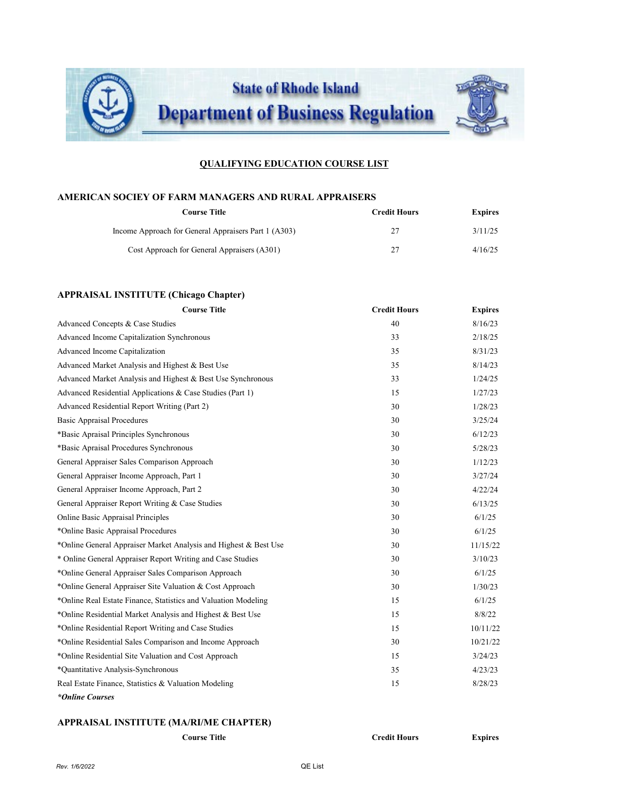

#### **AMERICAN SOCIEY OF FARM MANAGERS AND RURAL APPRAISERS**

| Course Title                                         | <b>Credit Hours</b> | <b>Expires</b> |
|------------------------------------------------------|---------------------|----------------|
| Income Approach for General Appraisers Part 1 (A303) | 27                  | 3/11/25        |
| Cost Approach for General Appraisers (A301)          | 27                  | 4/16/25        |

### **APPRAISAL INSTITUTE (Chicago Chapter)**

| <b>Course Title</b>                                              | <b>Credit Hours</b> | <b>Expires</b> |
|------------------------------------------------------------------|---------------------|----------------|
| Advanced Concepts & Case Studies                                 | 40                  | 8/16/23        |
| Advanced Income Capitalization Synchronous                       | 33                  | 2/18/25        |
| Advanced Income Capitalization                                   | 35                  | 8/31/23        |
| Advanced Market Analysis and Highest & Best Use                  | 35                  | 8/14/23        |
| Advanced Market Analysis and Highest & Best Use Synchronous      | 33                  | 1/24/25        |
| Advanced Residential Applications & Case Studies (Part 1)        | 15                  | 1/27/23        |
| Advanced Residential Report Writing (Part 2)                     | 30                  | 1/28/23        |
| <b>Basic Appraisal Procedures</b>                                | 30                  | 3/25/24        |
| *Basic Apraisal Principles Synchronous                           | 30                  | 6/12/23        |
| *Basic Apraisal Procedures Synchronous                           | 30                  | 5/28/23        |
| General Appraiser Sales Comparison Approach                      | 30                  | 1/12/23        |
| General Appraiser Income Approach, Part 1                        | 30                  | 3/27/24        |
| General Appraiser Income Approach, Part 2                        | 30                  | 4/22/24        |
| General Appraiser Report Writing & Case Studies                  | 30                  | 6/13/25        |
| Online Basic Appraisal Principles                                | 30                  | 6/1/25         |
| *Online Basic Appraisal Procedures                               | 30                  | 6/1/25         |
| *Online General Appraiser Market Analysis and Highest & Best Use | 30                  | 11/15/22       |
| * Online General Appraiser Report Writing and Case Studies       | 30                  | 3/10/23        |
| *Online General Appraiser Sales Comparison Approach              | 30                  | 6/1/25         |
| *Online General Appraiser Site Valuation & Cost Approach         | 30                  | 1/30/23        |
| *Online Real Estate Finance, Statistics and Valuation Modeling   | 15                  | 6/1/25         |
| *Online Residential Market Analysis and Highest & Best Use       | 15                  | 8/8/22         |
| *Online Residential Report Writing and Case Studies              | 15                  | 10/11/22       |
| *Online Residential Sales Comparison and Income Approach         | 30                  | 10/21/22       |
| *Online Residential Site Valuation and Cost Approach             | 15                  | 3/24/23        |
| *Quantitative Analysis-Synchronous                               | 35                  | 4/23/23        |
| Real Estate Finance, Statistics & Valuation Modeling             | 15                  | 8/28/23        |
| *Online Courses                                                  |                     |                |

### **APPRAISAL INSTITUTE (MA/RI/ME CHAPTER)**

**Course Title Credit Hours Expires**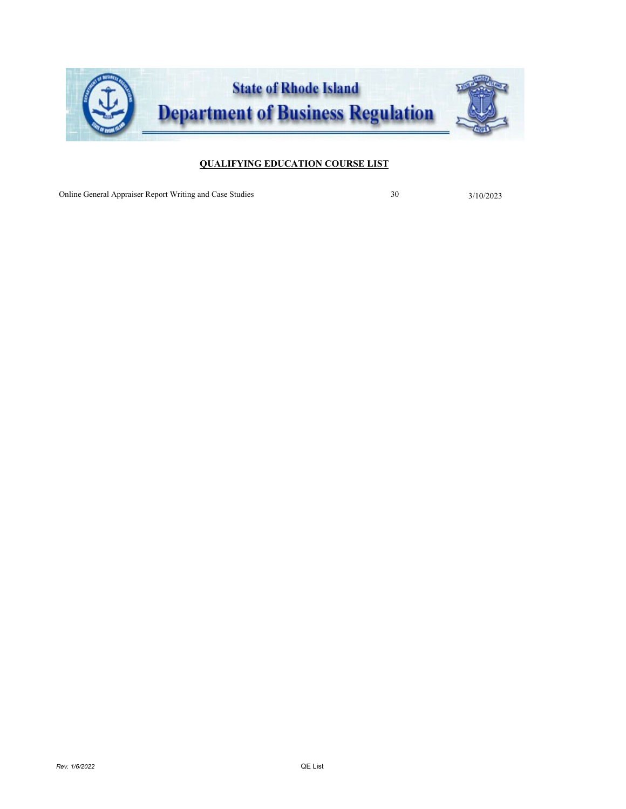

Online General Appraiser Report Writing and Case Studies 30 3/10/2023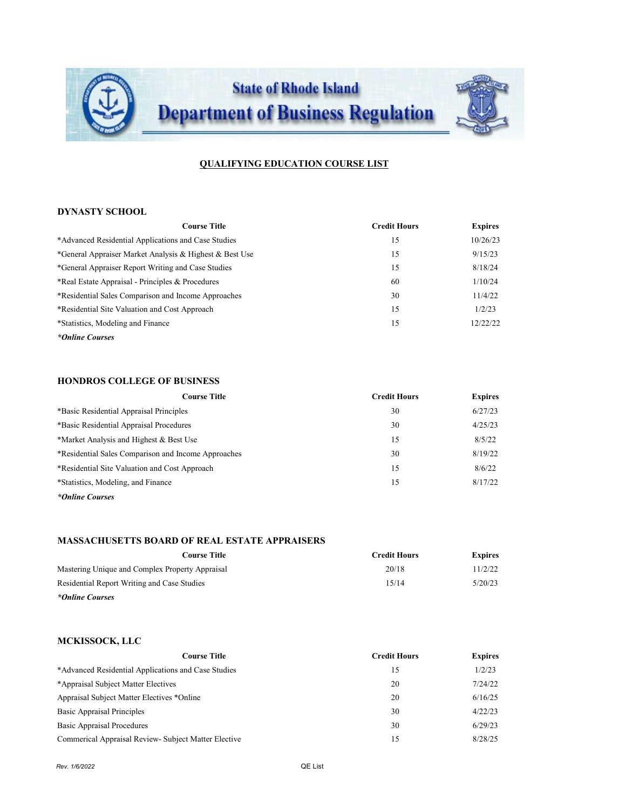

### **DYNASTY SCHOOL**

| <b>Course Title</b>                                     | <b>Credit Hours</b> | <b>Expires</b> |
|---------------------------------------------------------|---------------------|----------------|
| *Advanced Residential Applications and Case Studies     | 15                  | 10/26/23       |
| *General Appraiser Market Analysis & Highest & Best Use | 15                  | 9/15/23        |
| *General Appraiser Report Writing and Case Studies      | 15                  | 8/18/24        |
| *Real Estate Appraisal - Principles & Procedures        | 60                  | 1/10/24        |
| *Residential Sales Comparison and Income Approaches     | 30                  | 11/4/22        |
| *Residential Site Valuation and Cost Approach           | 15                  | 1/2/23         |
| *Statistics, Modeling and Finance                       | 15                  | 12/22/22       |
| *Online Courses                                         |                     |                |

### **HONDROS COLLEGE OF BUSINESS**

| <b>Course Title</b>                                 | <b>Credit Hours</b> | <b>Expires</b> |
|-----------------------------------------------------|---------------------|----------------|
| *Basic Residential Appraisal Principles             | 30                  | 6/27/23        |
| *Basic Residential Appraisal Procedures             | 30                  | 4/25/23        |
| *Market Analysis and Highest & Best Use             | 15                  | 8/5/22         |
| *Residential Sales Comparison and Income Approaches | 30                  | 8/19/22        |
| *Residential Site Valuation and Cost Approach       | 15                  | 8/6/22         |
| *Statistics, Modeling, and Finance                  | 15                  | 8/17/22        |
| *Online Courses                                     |                     |                |

#### **MASSACHUSETTS BOARD OF REAL ESTATE APPRAISERS**

| Course Title                                    | <b>Credit Hours</b> | <b>Expires</b> |
|-------------------------------------------------|---------------------|----------------|
| Mastering Unique and Complex Property Appraisal | 20/18               | 11/2/22        |
| Residential Report Writing and Case Studies     | 15/14               | 5/20/23        |
| *Online Courses                                 |                     |                |

#### **MCKISSOCK, LLC**

| <b>Course Title</b>                                  | <b>Credit Hours</b> | <b>Expires</b> |
|------------------------------------------------------|---------------------|----------------|
| *Advanced Residential Applications and Case Studies  | 15                  | 1/2/23         |
| *Appraisal Subject Matter Electives                  | 20                  | 7/24/22        |
| Appraisal Subject Matter Electives *Online           | 20                  | 6/16/25        |
| <b>Basic Appraisal Principles</b>                    | 30                  | 4/22/23        |
| <b>Basic Appraisal Procedures</b>                    | 30                  | 6/29/23        |
| Commerical Appraisal Review- Subject Matter Elective | 15                  | 8/28/25        |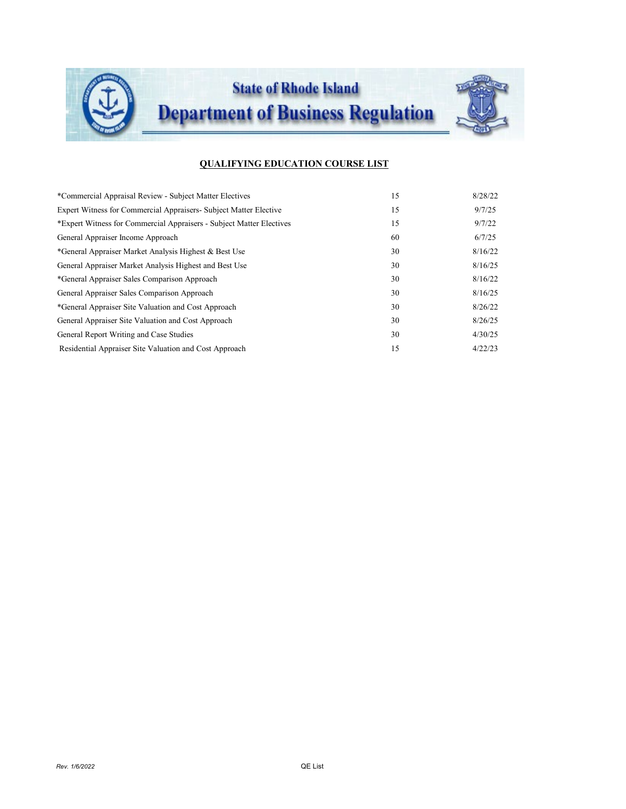

| *Commercial Appraisal Review - Subject Matter Electives              | 15 | 8/28/22 |
|----------------------------------------------------------------------|----|---------|
| Expert Witness for Commercial Appraisers- Subject Matter Elective    | 15 | 9/7/25  |
| *Expert Witness for Commercial Appraisers - Subject Matter Electives | 15 | 9/7/22  |
| General Appraiser Income Approach                                    | 60 | 6/7/25  |
| *General Appraiser Market Analysis Highest & Best Use                | 30 | 8/16/22 |
| General Appraiser Market Analysis Highest and Best Use               | 30 | 8/16/25 |
| *General Appraiser Sales Comparison Approach                         | 30 | 8/16/22 |
| General Appraiser Sales Comparison Approach                          | 30 | 8/16/25 |
| *General Appraiser Site Valuation and Cost Approach                  | 30 | 8/26/22 |
| General Appraiser Site Valuation and Cost Approach                   | 30 | 8/26/25 |
| General Report Writing and Case Studies                              | 30 | 4/30/25 |
| Residential Appraiser Site Valuation and Cost Approach               | 15 | 4/22/23 |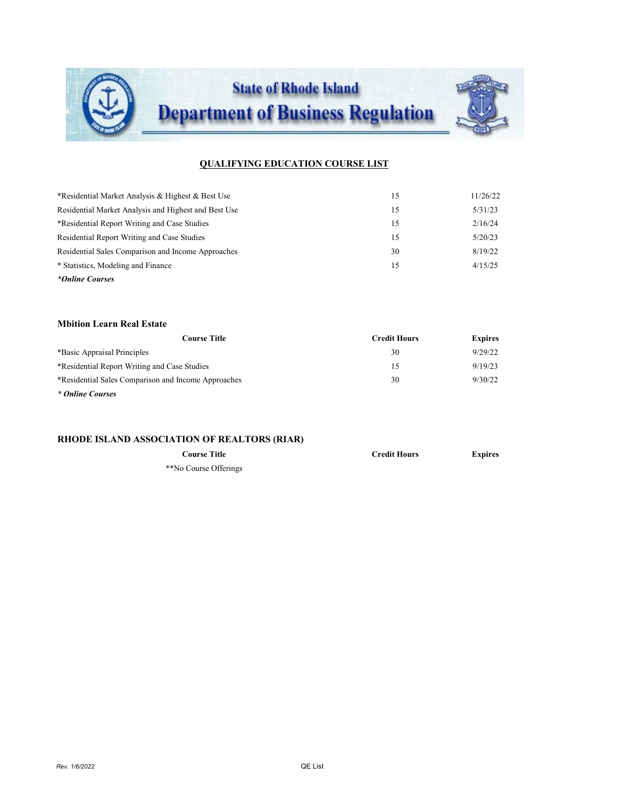

| *Residential Market Analysis & Highest & Best Use    | 15 | 11/26/22 |
|------------------------------------------------------|----|----------|
| Residential Market Analysis and Highest and Best Use | 15 | 5/31/23  |
| *Residential Report Writing and Case Studies         | 15 | 2/16/24  |
| Residential Report Writing and Case Studies          | 15 | 5/20/23  |
| Residential Sales Comparison and Income Approaches   | 30 | 8/19/22  |
| * Statistics, Modeling and Finance                   | 15 | 4/15/25  |
| *Online Courses                                      |    |          |

**Mbition Learn Real Estate**

| Course Title                                        | <b>Credit Hours</b> | <b>Expires</b> |
|-----------------------------------------------------|---------------------|----------------|
| *Basic Appraisal Principles                         | 30                  | 9/29/22        |
| *Residential Report Writing and Case Studies        | 15                  | 9/19/23        |
| *Residential Sales Comparison and Income Approaches | 30                  | 9/30/22        |
| * Online Courses                                    |                     |                |

### **RHODE ISLAND ASSOCIATION OF REALTORS (RIAR)**

\*\*No Course Offerings

**Course Title Credit Hours Expires**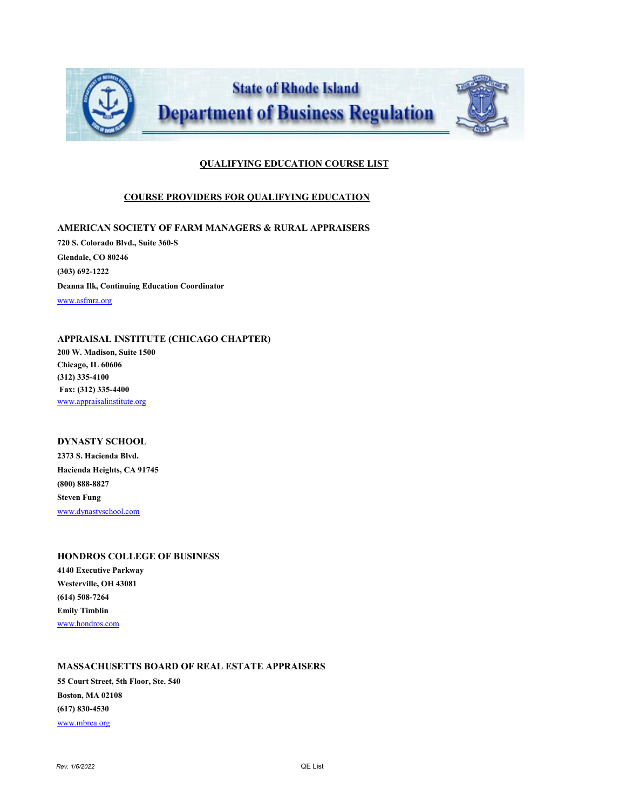

#### **COURSE PROVIDERS FOR QUALIFYING EDUCATION**

**AMERICAN SOCIETY OF FARM MANAGERS & RURAL APPRAISERS 720 S. Colorado Blvd., Suite 360-S Glendale, CO 80246 (303) 692-1222 Deanna Ilk, Continuing Education Coordinator** [www.asfmra.org](http://www.asfmra.org/)

#### **APPRAISAL INSTITUTE (CHICAGO CHAPTER)**

**200 W. Madison, Suite 1500 Chicago, IL 60606 (312) 335-4100 Fax: (312) 335-4400** [www.appraisalinstitute.org](http://www.appraisalinstitute.org/)

### **DYNASTY SCHOOL**

**2373 S. Hacienda Blvd. Hacienda Heights, CA 91745 (800) 888-8827 Steven Fung** [www.dynastyschool.com](http://www.dynastyschool.com/)

#### **HONDROS COLLEGE OF BUSINESS**

**4140 Executive Parkway Westerville, OH 43081 (614) 508-7264 Emily Timblin** [www.hondros.com](http://www.hondros.com/)

#### **MASSACHUSETTS BOARD OF REAL ESTATE APPRAISERS**

**55 Court Street, 5th Floor, Ste. 540 Boston, MA 02108 (617) 830-4530** [www.mbrea.org](http://www.mbrea.org/)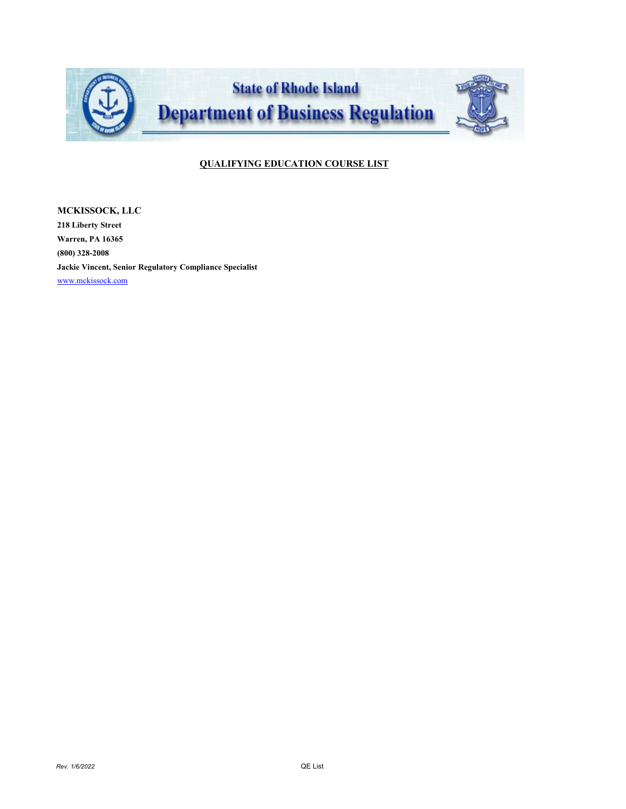

**MCKISSOCK, LLC 218 Liberty Street Warren, PA 16365 (800) 328-2008 Jackie Vincent, Senior Regulatory Compliance Specialist** [www.mckissock.com](http://www.mckissock.com/)